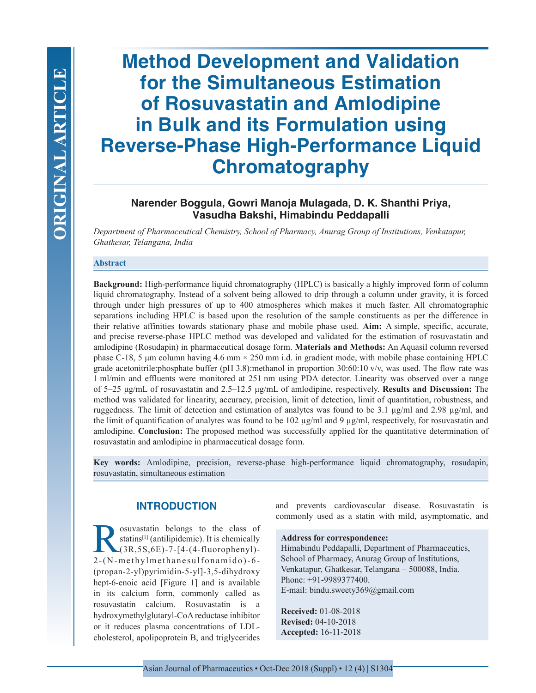# **Method Development and Validation for the Simultaneous Estimation of Rosuvastatin and Amlodipine in Bulk and its Formulation using Reverse-Phase High-Performance Liquid Chromatography**

# **Narender Boggula, Gowri Manoja Mulagada, D. K. Shanthi Priya, Vasudha Bakshi, Himabindu Peddapalli**

*Department of Pharmaceutical Chemistry, School of Pharmacy, Anurag Group of Institutions, Venkatapur, Ghatkesar, Telangana, India*

## **Abstract**

**Background:** High-performance liquid chromatography (HPLC) is basically a highly improved form of column liquid chromatography. Instead of a solvent being allowed to drip through a column under gravity, it is forced through under high pressures of up to 400 atmospheres which makes it much faster. All chromatographic separations including HPLC is based upon the resolution of the sample constituents as per the difference in their relative affinities towards stationary phase and mobile phase used. **Aim:** A simple, specific, accurate, and precise reverse-phase HPLC method was developed and validated for the estimation of rosuvastatin and amlodipine (Rosudapin) in pharmaceutical dosage form. **Materials and Methods:** An Aquasil column reversed phase C-18, 5 μm column having  $4.6$  mm  $\times$  250 mm i.d. in gradient mode, with mobile phase containing HPLC grade acetonitrile:phosphate buffer (pH 3.8):methanol in proportion 30:60:10 v/v, was used. The flow rate was 1 ml/min and effluents were monitored at 251 nm using PDA detector. Linearity was observed over a range of 5–25 μg/mL of rosuvastatin and 2.5–12.5 μg/mL of amlodipine, respectively. **Results and Discussion:** The method was validated for linearity, accuracy, precision, limit of detection, limit of quantitation, robustness, and ruggedness. The limit of detection and estimation of analytes was found to be 3.1 µg/ml and 2.98 µg/ml, and the limit of quantification of analytes was found to be  $102 \mu g/ml$  and  $9 \mu g/ml$ , respectively, for rosuvastatin and amlodipine. **Conclusion:** The proposed method was successfully applied for the quantitative determination of rosuvastatin and amlodipine in pharmaceutical dosage form.

**Key words:** Amlodipine, precision, reverse-phase high-performance liquid chromatography, rosudapin, rosuvastatin, simultaneous estimation

# **INTRODUCTION**

Survastatin belongs to the class of<br>
statins<sup>[1]</sup> (antilipidemic). It is chemically<br>
(3R,5S,6E)-7-[4-(4-fluorophenyl)-<br>
2-(N-methylmethanesulfonamido)-6statins<sup>[1]</sup> (antilipidemic). It is chemically (3R,5S,6E)-7-[4-(4-fluorophenyl)- 2-(N-methylmethanesulfonamido)-6- (propan-2-yl)pyrimidin-5-yl]-3,5-dihydroxy hept-6-enoic acid [Figure 1] and is available in its calcium form, commonly called as rosuvastatin calcium. Rosuvastatin is a hydroxymethylglutaryl-CoA reductase inhibitor or it reduces plasma concentrations of LDLcholesterol, apolipoprotein B, and triglycerides and prevents cardiovascular disease. Rosuvastatin is commonly used as a statin with mild, asymptomatic, and

## **Address for correspondence:**

Himabindu Peddapalli, Department of Pharmaceutics, School of Pharmacy, Anurag Group of Institutions, Venkatapur, Ghatkesar, Telangana – 500088, India. Phone: +91-9989377400. E-mail: bindu.sweety369@gmail.com

**Received:** 01-08-2018 **Revised:** 04-10-2018 **Accepted:** 16-11-2018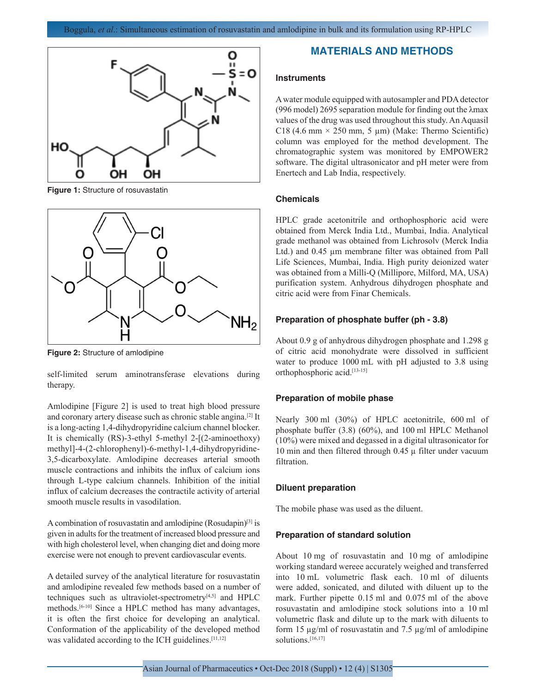

**Figure 1:** Structure of rosuvastatin



**Figure 2:** Structure of amlodipine

self-limited serum aminotransferase elevations during therapy.

Amlodipine [Figure 2] is used to treat high blood pressure and coronary artery disease such as chronic stable angina.[2] It is a long-acting 1,4-dihydropyridine calcium channel blocker. It is chemically (RS)-3-ethyl 5-methyl 2-[(2-aminoethoxy) methyl]-4-(2-chlorophenyl)-6-methyl-1,4-dihydropyridine-3,5-dicarboxylate. Amlodipine decreases arterial smooth muscle contractions and inhibits the influx of calcium ions through L-type calcium channels. Inhibition of the initial influx of calcium decreases the contractile activity of arterial smooth muscle results in vasodilation.

A combination of rosuvastatin and amlodipine (Rosudapin)[3] is given in adults for the treatment of increased blood pressure and with high cholesterol level, when changing diet and doing more exercise were not enough to prevent cardiovascular events.

A detailed survey of the analytical literature for rosuvastatin and amlodipine revealed few methods based on a number of techniques such as ultraviolet-spectrometry<sup>[4,5]</sup> and HPLC methods.[6-10] Since a HPLC method has many advantages, it is often the first choice for developing an analytical. Conformation of the applicability of the developed method was validated according to the ICH guidelines.<sup>[11,12]</sup>

## **MATERIALS AND METHODS**

#### **Instruments**

A water module equipped with autosampler and PDA detector (996 model) 2695 separation module for finding out the λmax values of the drug was used throughout this study. An Aquasil C18 (4.6 mm  $\times$  250 mm, 5 µm) (Make: Thermo Scientific) column was employed for the method development. The chromatographic system was monitored by EMPOWER2 software. The digital ultrasonicator and pH meter were from Enertech and Lab India, respectively.

## **Chemicals**

HPLC grade acetonitrile and orthophosphoric acid were obtained from Merck India Ltd., Mumbai, India. Analytical grade methanol was obtained from Lichrosolv (Merck India Ltd.) and  $0.45 \mu m$  membrane filter was obtained from Pall Life Sciences, Mumbai, India. High purity deionized water was obtained from a Milli-Q (Millipore, Milford, MA, USA) purification system. Anhydrous dihydrogen phosphate and citric acid were from Finar Chemicals.

#### **Preparation of phosphate buffer (ph - 3.8)**

About 0.9 g of anhydrous dihydrogen phosphate and 1.298 g of citric acid monohydrate were dissolved in sufficient water to produce 1000 mL with pH adjusted to 3.8 using orthophosphoric acid.[13-15]

## **Preparation of mobile phase**

Nearly 300 ml (30%) of HPLC acetonitrile, 600 ml of phosphate buffer (3.8) (60%), and 100 ml HPLC Methanol (10%) were mixed and degassed in a digital ultrasonicator for 10 min and then filtered through  $0.45 \mu$  filter under vacuum filtration.

#### **Diluent preparation**

The mobile phase was used as the diluent.

#### **Preparation of standard solution**

About 10 mg of rosuvastatin and 10 mg of amlodipine working standard wereee accurately weighed and transferred into 10 mL volumetric flask each. 10 ml of diluents were added, sonicated, and diluted with diluent up to the mark. Further pipette 0.15 ml and 0.075 ml of the above rosuvastatin and amlodipine stock solutions into a 10 ml volumetric flask and dilute up to the mark with diluents to form 15 µg/ml of rosuvastatin and 7.5 µg/ml of amlodipine solutions.<sup>[16,17]</sup>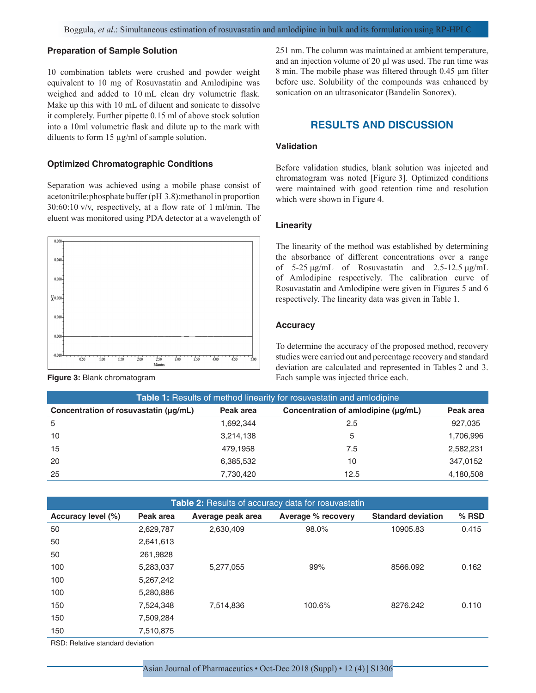## **Preparation of Sample Solution**

10 combination tablets were crushed and powder weight equivalent to 10 mg of Rosuvastatin and Amlodipine was weighed and added to 10 mL clean dry volumetric flask. Make up this with 10 mL of diluent and sonicate to dissolve it completely. Further pipette 0.15 ml of above stock solution into a 10ml volumetric flask and dilute up to the mark with diluents to form 15 µg/ml of sample solution.

## **Optimized Chromatographic Conditions**

Separation was achieved using a mobile phase consist of acetonitrile:phosphate buffer (pH 3.8):methanol in proportion 30:60:10 v/v, respectively, at a flow rate of 1 ml/min. The eluent was monitored using PDA detector at a wavelength of





251 nm. The column was maintained at ambient temperature, and an injection volume of 20 μl was used. The run time was 8 min. The mobile phase was filtered through 0.45 μm filter before use. Solubility of the compounds was enhanced by sonication on an ultrasonicator (Bandelin Sonorex).

# **RESULTS AND DISCUSSION**

## **Validation**

Before validation studies, blank solution was injected and chromatogram was noted [Figure 3]. Optimized conditions were maintained with good retention time and resolution which were shown in Figure 4.

## **Linearity**

The linearity of the method was established by determining the absorbance of different concentrations over a range of 5-25 μg/mL of Rosuvastatin and 2.5-12.5 μg/mL of Amlodipine respectively. The calibration curve of Rosuvastatin and Amlodipine were given in Figures 5 and 6 respectively. The linearity data was given in Table 1.

#### **Accuracy**

To determine the accuracy of the proposed method, recovery studies were carried out and percentage recovery and standard deviation are calculated and represented in Tables 2 and 3. **Figure 3:** Blank chromatogram **Each sample was injected thrice each.** Each sample was injected thrice each.

| <b>Table 1:</b> Results of method linearity for rosuvastatin and amlodipine |           |                                     |           |  |  |  |
|-----------------------------------------------------------------------------|-----------|-------------------------------------|-----------|--|--|--|
| Concentration of rosuvastatin (µq/mL)                                       | Peak area | Concentration of amlodipine (µq/mL) | Peak area |  |  |  |
| 5                                                                           | 1.692.344 | 2.5                                 | 927,035   |  |  |  |
| 10                                                                          | 3,214,138 | 5                                   | 1,706,996 |  |  |  |
| 15                                                                          | 479.1958  | 7.5                                 | 2,582,231 |  |  |  |
| 20                                                                          | 6,385,532 | 10                                  | 347,0152  |  |  |  |
| 25                                                                          | 7,730,420 | 12.5                                | 4,180,508 |  |  |  |
|                                                                             |           |                                     |           |  |  |  |

| <b>Table 2:</b> Results of accuracy data for rosuvastatin |           |                   |                    |                           |         |  |
|-----------------------------------------------------------|-----------|-------------------|--------------------|---------------------------|---------|--|
| Accuracy level (%)                                        | Peak area | Average peak area | Average % recovery | <b>Standard deviation</b> | $%$ RSD |  |
| 50                                                        | 2,629,787 | 2,630,409         | 98.0%              | 10905.83                  | 0.415   |  |
| 50                                                        | 2,641,613 |                   |                    |                           |         |  |
| 50                                                        | 261,9828  |                   |                    |                           |         |  |
| 100                                                       | 5,283,037 | 5,277,055         | 99%                | 8566.092                  | 0.162   |  |
| 100                                                       | 5,267,242 |                   |                    |                           |         |  |
| 100                                                       | 5,280,886 |                   |                    |                           |         |  |
| 150                                                       | 7,524,348 | 7,514,836         | 100.6%             | 8276.242                  | 0.110   |  |
| 150                                                       | 7,509,284 |                   |                    |                           |         |  |
| 150                                                       | 7,510,875 |                   |                    |                           |         |  |
|                                                           |           |                   |                    |                           |         |  |

RSD: Relative standard deviation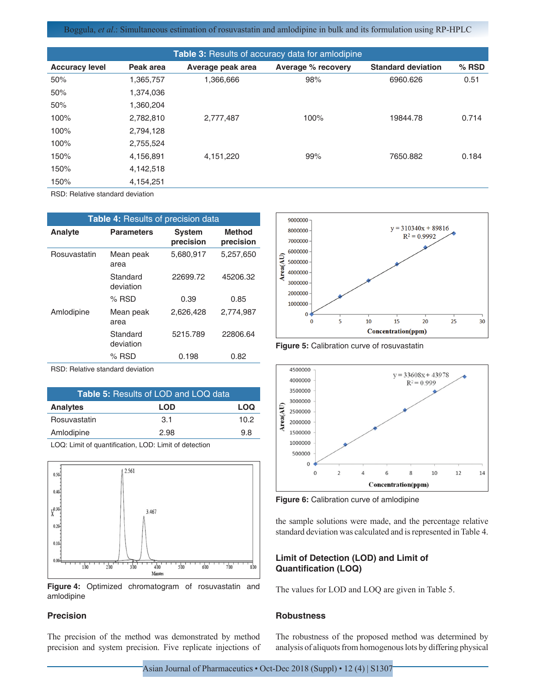Boggula, *et al*.: Simultaneous estimation of rosuvastatin and amlodipine in bulk and its formulation using RP-HPLC

| <b>Table 3: Results of accuracy data for amlodipine</b> |                   |                    |                           |         |  |  |
|---------------------------------------------------------|-------------------|--------------------|---------------------------|---------|--|--|
| Peak area                                               | Average peak area | Average % recovery | <b>Standard deviation</b> | $%$ RSD |  |  |
| 1,365,757                                               | 1.366.666         | 98%                | 6960.626                  | 0.51    |  |  |
| 1,374,036                                               |                   |                    |                           |         |  |  |
| 1,360,204                                               |                   |                    |                           |         |  |  |
| 2,782,810                                               | 2.777.487         | 100%               | 19844.78                  | 0.714   |  |  |
| 2,794,128                                               |                   |                    |                           |         |  |  |
| 2,755,524                                               |                   |                    |                           |         |  |  |
| 4,156,891                                               | 4.151.220         | 99%                | 7650.882                  | 0.184   |  |  |
| 4,142,518                                               |                   |                    |                           |         |  |  |
| 4,154,251                                               |                   |                    |                           |         |  |  |
|                                                         |                   |                    |                           |         |  |  |

RSD: Relative standard deviation

| Table 4: Results of precision data |                       |                            |                            |  |  |
|------------------------------------|-----------------------|----------------------------|----------------------------|--|--|
| Analyte                            | <b>Parameters</b>     | <b>System</b><br>precision | <b>Method</b><br>precision |  |  |
| Rosuvastatin                       | Mean peak<br>area     | 5,680,917                  | 5.257.650                  |  |  |
|                                    | Standard<br>deviation | 22699.72                   | 45206.32                   |  |  |
|                                    | $%$ RSD               | 0.39                       | 0.85                       |  |  |
| Amlodipine                         | Mean peak<br>area     | 2,626,428                  | 2,774,987                  |  |  |
|                                    | Standard<br>deviation | 5215.789                   | 22806.64                   |  |  |
|                                    | $%$ RSD               | 0.198                      | 0.82                       |  |  |
| DCD: Dolotive etendard deviation   |                       |                            |                            |  |  |

RSD: Relative standard deviation

| <b>Table 5: Results of LOD and LOQ data</b> |      |      |  |  |  |
|---------------------------------------------|------|------|--|--|--|
| <b>Analytes</b>                             | LOD  | LOQ  |  |  |  |
| Rosuvastatin                                | 3.1  | 10.2 |  |  |  |
| Amlodipine                                  | 2.98 | 9.8  |  |  |  |

LOQ: Limit of quantification, LOD: Limit of detection



**Figure 4:** Optimized chromatogram of rosuvastatin and amlodipine

## **Precision**

The precision of the method was demonstrated by method precision and system precision. Five replicate injections of



**Figure 5:** Calibration curve of rosuvastatin



**Figure 6:** Calibration curve of amlodipine

the sample solutions were made, and the percentage relative standard deviation was calculated and is represented in Table 4.

## **Limit of Detection (LOD) and Limit of Quantification (LOQ)**

The values for LOD and LOQ are given in Table 5.

# **Robustness**

The robustness of the proposed method was determined by analysis of aliquots from homogenous lots by differing physical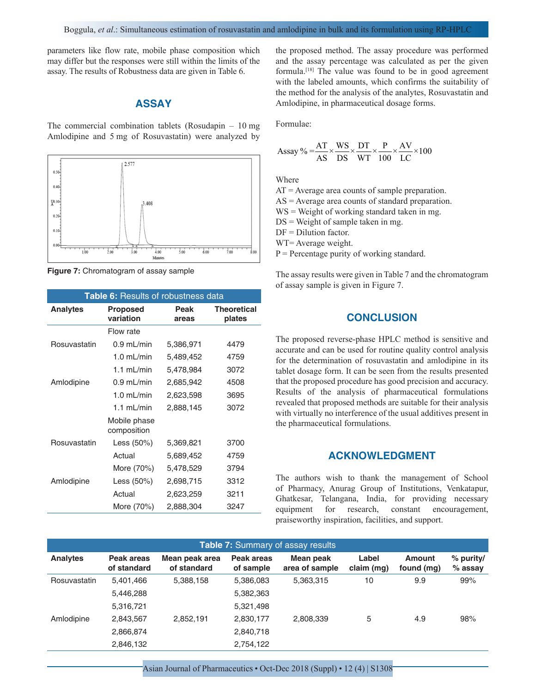parameters like flow rate, mobile phase composition which may differ but the responses were still within the limits of the assay. The results of Robustness data are given in Table 6.

## **ASSAY**

The commercial combination tablets (Rosudapin – 10 mg Amlodipine and 5 mg of Rosuvastatin) were analyzed by



**Figure 7:** Chromatogram of assay sample

| Table 6: Results of robustness data |                                               |           |                              |  |  |
|-------------------------------------|-----------------------------------------------|-----------|------------------------------|--|--|
| <b>Analytes</b>                     | Peak<br><b>Proposed</b><br>variation<br>areas |           | <b>Theoretical</b><br>plates |  |  |
|                                     | Flow rate                                     |           |                              |  |  |
| Rosuvastatin                        | $0.9$ mL/min                                  | 5,386,971 | 4479                         |  |  |
|                                     | $1.0 \text{ mL/min}$                          | 5,489,452 | 4759                         |  |  |
|                                     | $1.1$ mL/min                                  | 5,478,984 | 3072                         |  |  |
| Amlodipine                          | $0.9$ mL/min                                  | 2,685,942 | 4508                         |  |  |
|                                     | $1.0$ mL/min                                  | 2,623,598 | 3695                         |  |  |
|                                     | 1.1 $mL/min$                                  | 2,888,145 | 3072                         |  |  |
|                                     | Mobile phase<br>composition                   |           |                              |  |  |
| Rosuvastatin                        | Less $(50%)$                                  | 5,369,821 | 3700                         |  |  |
|                                     | Actual                                        | 5,689,452 | 4759                         |  |  |
|                                     | More (70%)                                    | 5,478,529 | 3794                         |  |  |
| Amlodipine                          | Less $(50%)$                                  | 2,698,715 | 3312                         |  |  |
|                                     | Actual                                        | 2,623,259 | 3211                         |  |  |
|                                     | More (70%)                                    | 2,888,304 | 3247                         |  |  |

the proposed method. The assay procedure was performed and the assay percentage was calculated as per the given formula.[18] The value was found to be in good agreement with the labeled amounts, which confirms the suitability of the method for the analysis of the analytes, Rosuvastatin and Amlodipine, in pharmaceutical dosage forms.

Formulae:

$$
Assay\% = \frac{AT}{AS} \times \frac{WS}{DS} \times \frac{DT}{WT} \times \frac{P}{100} \times \frac{AV}{LC} \times 100
$$

Where

AT = Average area counts of sample preparation.

AS = Average area counts of standard preparation.

WS = Weight of working standard taken in mg.

 $DS = Weight of sample taken in mg.$ 

 $DF = Dilution factor$ .

WT= Average weight.

 $P =$  Percentage purity of working standard.

The assay results were given in Table 7 and the chromatogram of assay sample is given in Figure 7.

# **CONCLUSION**

The proposed reverse-phase HPLC method is sensitive and accurate and can be used for routine quality control analysis for the determination of rosuvastatin and amlodipine in its tablet dosage form. It can be seen from the results presented that the proposed procedure has good precision and accuracy. Results of the analysis of pharmaceutical formulations revealed that proposed methods are suitable for their analysis with virtually no interference of the usual additives present in the pharmaceutical formulations.

## **ACKNOWLEDGMENT**

The authors wish to thank the management of School of Pharmacy, Anurag Group of Institutions, Venkatapur, Ghatkesar, Telangana, India, for providing necessary equipment for research, constant encouragement, praiseworthy inspiration, facilities, and support.

| Table 7: Summary of assay results |                           |                               |                         |                             |                     |                             |                          |  |
|-----------------------------------|---------------------------|-------------------------------|-------------------------|-----------------------------|---------------------|-----------------------------|--------------------------|--|
| <b>Analytes</b>                   | Peak areas<br>of standard | Mean peak area<br>of standard | Peak areas<br>of sample | Mean peak<br>area of sample | Label<br>claim (mg) | <b>Amount</b><br>found (mg) | $%$ purity/<br>$%$ assay |  |
| Rosuvastatin                      | 5,401,466                 | 5,388,158                     | 5,386,083               | 5,363,315                   | 10                  | 9.9                         | 99%                      |  |
|                                   | 5,446,288                 |                               | 5,382,363               |                             |                     |                             |                          |  |
|                                   | 5,316,721                 |                               | 5,321,498               |                             |                     |                             |                          |  |
| Amlodipine                        | 2,843,567                 | 2.852.191                     | 2,830,177               | 2,808,339                   | 5                   | 4.9                         | 98%                      |  |
|                                   | 2,866,874                 |                               | 2,840,718               |                             |                     |                             |                          |  |
|                                   | 2,846,132                 |                               | 2,754,122               |                             |                     |                             |                          |  |

Asian Journal of Pharmaceutics • Oct-Dec 2018 (Suppl) • 12 (4) | S1308